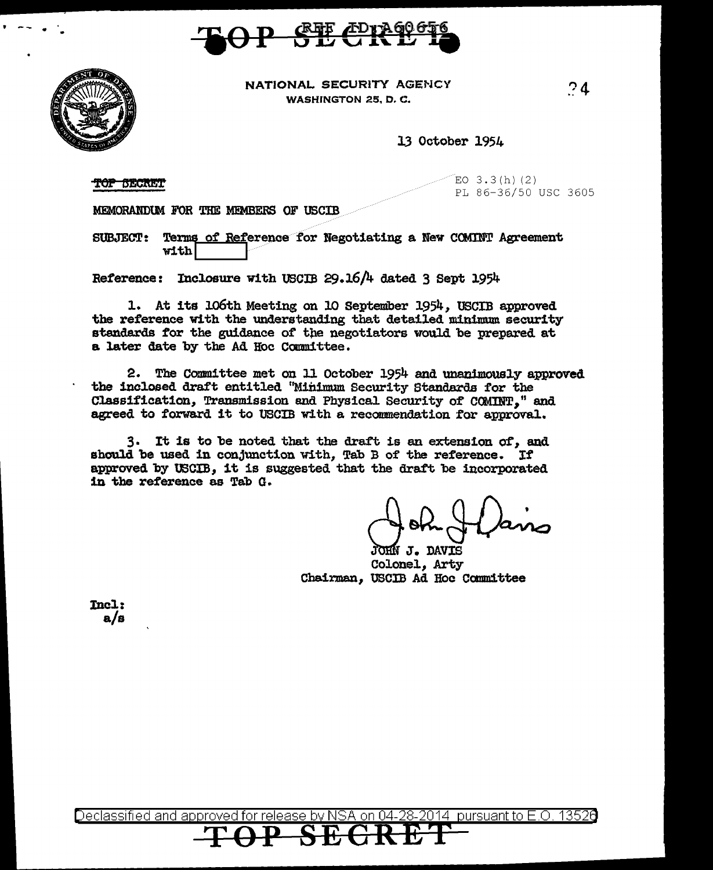



 $\cdot$  --

NATIONAL SECURITY AGENCY WASHINGTON 25, D.C.

 $.24$ 

13 October 1954

**TOP BECRET** 

 $EO$  3.3 $(h)$  (2) PL 86-36/50 USC 3605

MEMORANDUM FOR THE MEMBERS OF USCIB

SUBJECT: Terms of Reference for Negotiating a New COMTNT Agreement with

Reference: Inclosure with USCIB 29.16/4 dated 3 Sept 1954

1. At its 106th Meeting on 10 September 1954, USCIB approved the reference with the understanding that detailed minimum security standards for the guidance of the negotiators would be prepared at a later date by the Ad Hoc Ccmnittee.

2. The Committee met on 11 October 1954 and unanimously approved the inclosed draft entitled "Minimum Security Standards tor the Classification, Transmission and Physical Security of COMINT," and agreed to forward it to USCIB with a recommendation for approval.

3. It is to be noted that the draft is an extension of, and should be used in conjunction with, Tab B of the reference. If approved by USCIB, it is suggested that the draft be incorporated in the reference as Tab G.

JOHN J. DAVIS Colonel., Arty Chairman, USCIB Ad Hoc Canmittee

Incl: a/s

<u>eclassified and approved for release by NSA on 04-28-2014 pursuant to E.O. 13526</u>

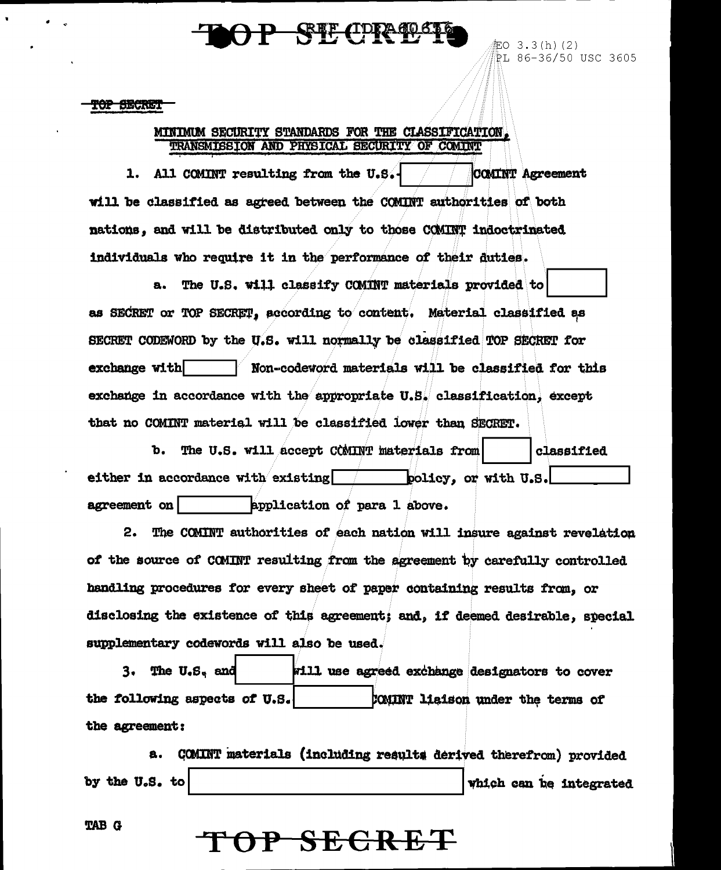### **武士 化边球分**

記0 3.3(h)(2) PL 86-36/50 USC 3605

#### r<del>op Siecre</del>it

### MINIMUM SECURITY STANDARDS FOR THE CLASSIFICATION. TRANSMISSION AND PHYSICAL SECURITY OF COMINT

1. All COMINT resulting from the U.S.-COMINT Agreement will be classified as agreed between the COMINT authorities of both nations, and will be distributed only to those COMINT indoctrinated individuals who require it in the performance of their duties.

The U.S. will classify COMINT materials provided to a. as SECRET or TOP SECRET, according to content. Material classified as SECRET CODEWORD by the U.S. will normally be classified TOP SECRET for exchange with Non-codeword materials will be classified for this exchange in accordance with the appropriate  $U.S$ . classification, except that no COMINT material will be classified lower than SECRET.

The U.S. will accept COMINT materials from classified  $\mathbf{b}$ . either in accordance with existing policy, or with U.S. application of para 1 above. agreement on

The COMINT authorities of each nation will insure against revelation 2. of the source of COMINT resulting from the agreement by carefully controlled handling procedures for every sheet of paper containing results from. or disclosing the existence of this agreement; and, if deemed desirable, special supplementary codewords will also be used.

The U.S. and will use agreed exchange designators to cover 3. the following aspects of U.S. COMINT liaison under the terms of the agreement:

COMINT materials (including results derived therefrom) provided а. by the U.S. to which can be integrated

<del>P SECRET</del>

**TAB G**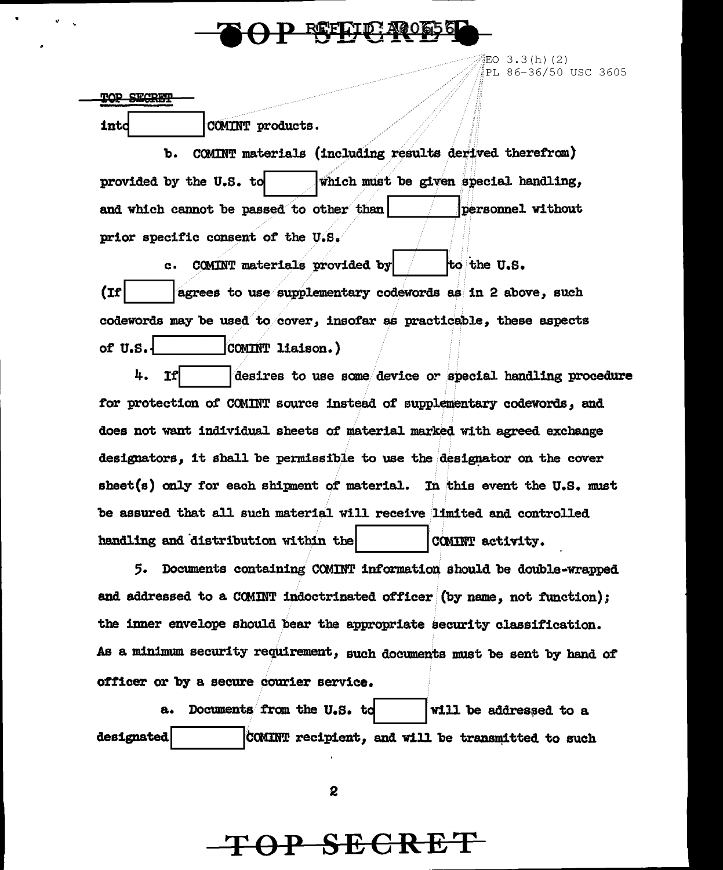

EO  $3.3(h)$  (2) PL 86-36/50 USC 3605

**TOP SECRET** 

into

COMINT products.

COMINT materials (including results derived therefrom) ъ. which must be given special handling, provided by the U.S. to and which cannot be passed to other than personnel without prior specific consent of the U.S.

COMINT materials provided by to the U.S.  $\mathbf{c}$ .  $(1)$ agrees to use supplementary codewords as in 2 above, such codewords may be used to cover, insofar as practicable, these aspects of U.S. COMINT liaison.)

4. desires to use some device or special handling procedure for protection of COMINT source instead of supplementary codewords, and does not want individual sheets of material marked with agreed exchange designators, it shall be permissible to use the designator on the cover sheet(s) only for each shipment of material. In this event the U.S. must be assured that all such material will receive limited and controlled handling and distribution within the COMINT activity.

5. Documents containing COMINT information should be double-wrapped and addressed to a COMINT indoctrinated officer (by name, not function); the inner envelope should bear the appropriate security classification. As a minimum security requirement, such documents must be sent by hand of officer or by a secure courier service.

Documents from the U.S. to will be addressed to a а. designated COMINT recipient, and will be transmitted to such

 $\mathbf{2}$ 

## <del>OP SECRE</del>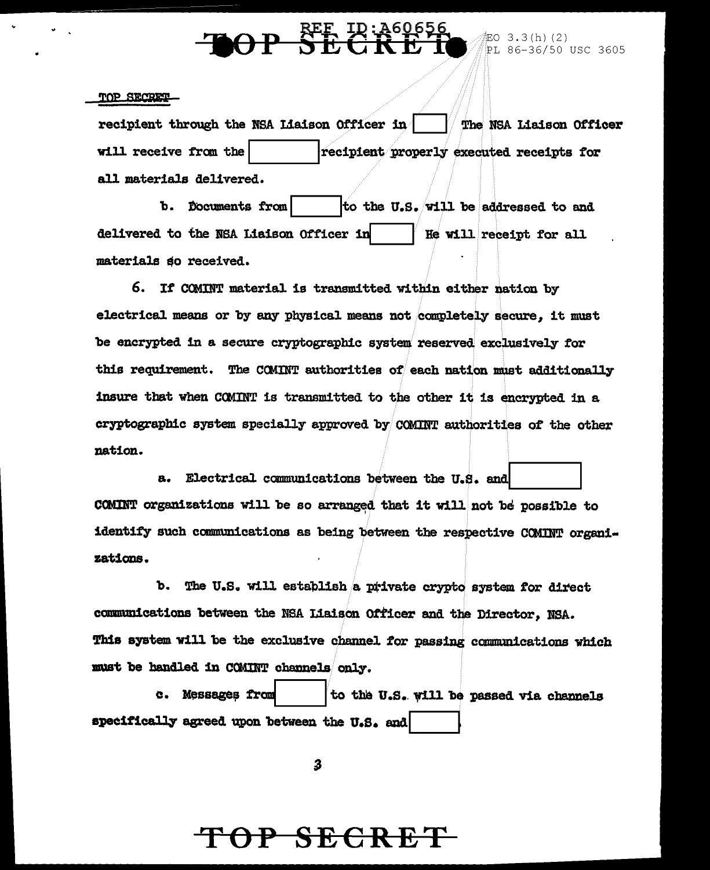### **BEE** IR: A60656<br>**SECRE**T **AOP**

### TOP SECRET

recipient through the NSA Liaison Officer in The NSA Liaison Officer will receive from the recipient properly executed receipts for all materials delivered.

b. Documents from to the U.S. will be addressed to and delivered to the NSA Liaison Officer in He will receipt for all materials so received.

6. If COMINT material is transmitted within either nation by electrical means or by any physical means not completely secure, it must be encrypted in a secure cryptographic system reserved exclusively for this requirement. The COMINT authorities of each nation must additionally insure that when COMINT is transmitted to the other it is encrypted in a cryptographic system specially approved by COMINT authorities of the other nation.

a. Electrical communications between the U.S. and COMINT organizations will be so arranged that it will not be possible to identify such communications as being between the respective COMINT organizations.

b. The U.S. will establish a private crypto system for direct communications between the NSA Liaison Officer and the Director. NSA. This system will be the exclusive channel for passing communications which must be handled in COMINT channels only.

to the U.S. will be passed via channels c. Messages from specifically agreed upon between the U.S. and

3

# TOP SECRET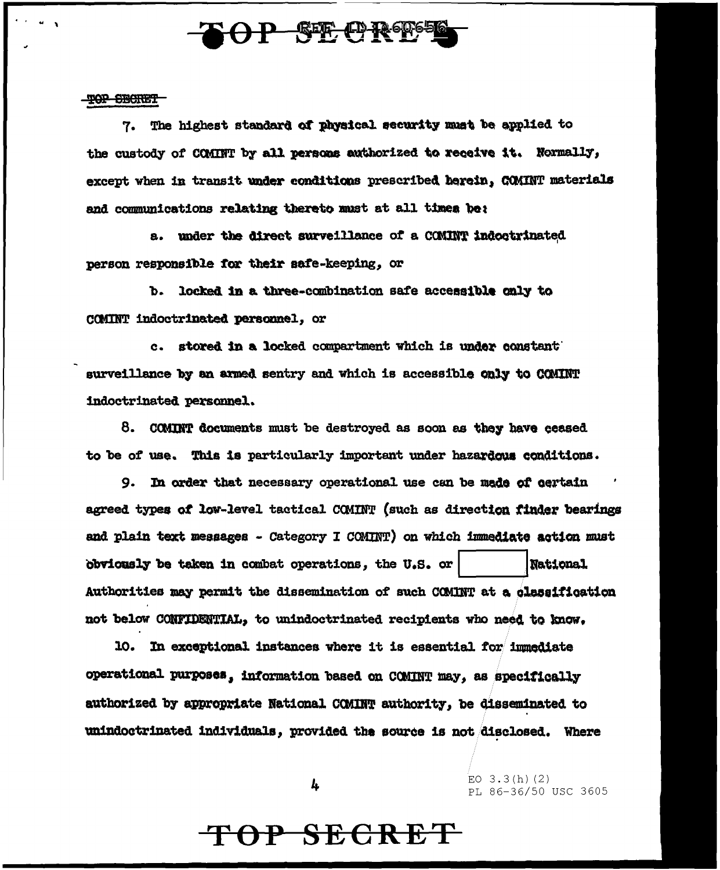

#### TOP SECRET

7. The highest standard of physical security must be applied to the custody of COMINT by all persons authorized to receive it. Normally, except when in transit under conditions prescribed herein, COMINT materials and communications relating thereto must at all times be:

a. under the direct surveillance of a COMINT indoctrinated person responsible for their safe-keeping, or

b. locked in a three-combination safe accessible only to COMINT indoctrinated personnel, or

c. stored in a locked compartment which is under constant surveillance by an armed sentry and which is accessible only to COMINT indoctrinated personnel.

8. COMINT documents must be destroyed as soon as they have ceased to be of use. This is particularly important under hazardous conditions.

9. In order that necessary operational use can be made of certain agreed types of low-level tactical COMINT (such as direction finder bearings and plain text messages - Category I COMINT) on which immediate action must obviously be taken in combat operations, the U.S. or **National** Authorities may permit the dissemination of such COMINT at a classification not below CONFIDENTIAL, to unindoctrinated recipients who need to know.

10. In exceptional instances where it is essential for immediate operational purposes, information based on COMINT may, as specifically authorized by appropriate National COMINT authority, be disseminated to unindoctrinated individuals, provided the source is not disclosed. Where

4

 $EO$  3.3(h)(2) PL 86-36/50 USC 3605

# TOP SECRET